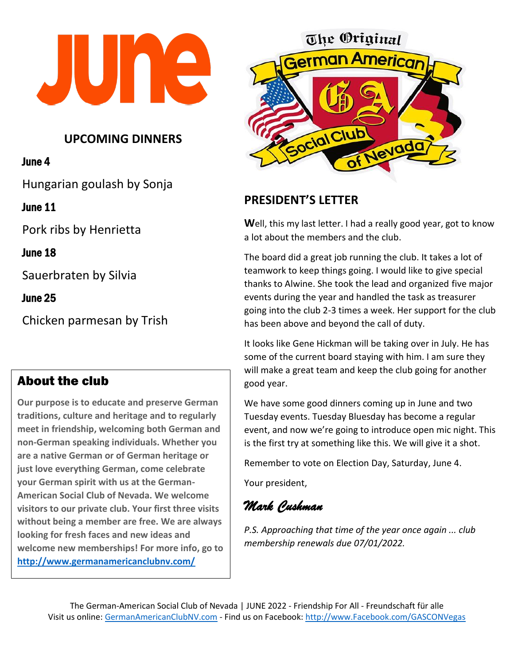

### **UPCOMING DINNERS**

#### June 4

Hungarian goulash by Sonja

June 11

Pork ribs by Henrietta

June 18

Sauerbraten by Silvia

June 25

Chicken parmesan by Trish

#### $\overline{a}$ About the club

**Our purpose is to educate and preserve German traditions, culture and heritage and to regularly meet in friendship, welcoming both German and non-German speaking individuals. Whether you are a native German or of German heritage or just love everything German, come celebrate your German spirit with us at the German-American Social Club of Nevada. We welcome visitors to our private club. Your first three visits without being a member are free. We are always looking for fresh faces and new ideas and welcome new memberships! For more info, go to <http://www.germanamericanclubnv.com/>**



# **PRESIDENT'S LETTER**

**W**ell, this my last letter. I had a really good year, got to know a lot about the members and the club.

The board did a great job running the club. It takes a lot of teamwork to keep things going. I would like to give special thanks to Alwine. She took the lead and organized five major events during the year and handled the task as treasurer going into the club 2-3 times a week. Her support for the club has been above and beyond the call of duty.

It looks like Gene Hickman will be taking over in July. He has some of the current board staying with him. I am sure they will make a great team and keep the club going for another good year.

We have some good dinners coming up in June and two Tuesday events. Tuesday Bluesday has become a regular event, and now we're going to introduce open mic night. This is the first try at something like this. We will give it a shot.

Remember to vote on Election Day, Saturday, June 4.

Your president,

*Mark Cushman*

*P.S. Approaching that time of the year once again ... club membership renewals due 07/01/2022.*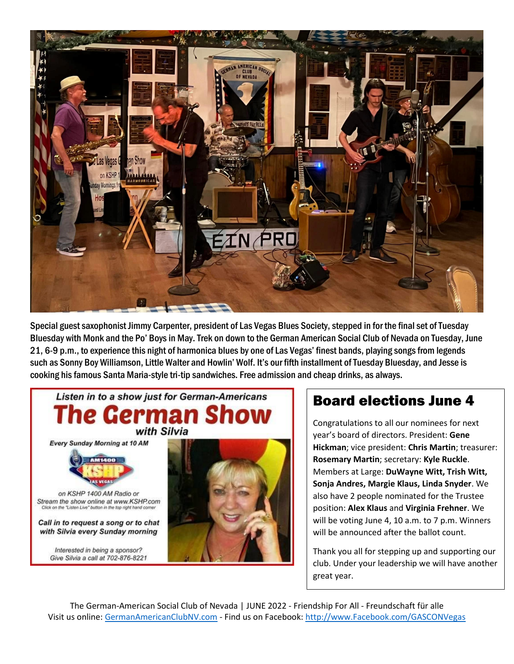

Special guest saxophonist Jimmy Carpenter, president of Las Vegas Blues Society, stepped in for the final set of Tuesday Bluesday with Monk and the Po' Boys in May. Trek on down to the German American Social Club of Nevada on Tuesday, June 21, 6-9 p.m., to experience this night of harmonica blues by one of Las Vegas' finest bands, playing songs from legends such as Sonny Boy Williamson, Little Walter and Howlin' Wolf. It's our fifth installment of Tuesday Bluesday, and Jesse is cooking his famous Santa Maria-style tri-tip sandwiches. Free admission and cheap drinks, as always.



# Board elections June 4

Congratulations to all our nominees for next year's board of directors. President: **Gene Hickman**; vice president: **Chris Martin**; treasurer: **Rosemary Martin**; secretary: **Kyle Ruckle**. Members at Large: **DuWayne Witt, Trish Witt, Sonja Andres, Margie Klaus, Linda Snyder**. We also have 2 people nominated for the Trustee position: **Alex Klaus** and **Virginia Frehner**. We will be voting June 4, 10 a.m. to 7 p.m. Winners will be announced after the ballot count.

Thank you all for stepping up and supporting our club. Under your leadership we will have another great year.

The German-American Social Club of Nevada | JUNE 2022 - Friendship For All - Freundschaft für alle Visit us online: [GermanAmericanClubNV.com](http://germanamericanclubnv.com/) - Find us on Facebook: [http://www.Facebook.com/GASCONVegas](http://www.facebook.com/GASCONVegas)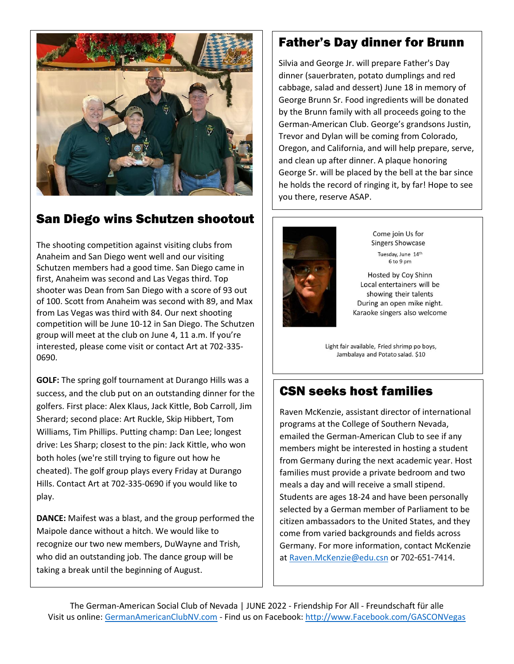

# San Diego wins Schutzen shootout

The shooting competition against visiting clubs from Anaheim and San Diego went well and our visiting Schutzen members had a good time. San Diego came in first, Anaheim was second and Las Vegas third. Top shooter was Dean from San Diego with a score of 93 out of 100. Scott from Anaheim was second with 89, and Max from Las Vegas was third with 84. Our next shooting competition will be June 10-12 in San Diego. The Schutzen group will meet at the club on June 4, 11 a.m. If you're interested, please come visit or contact Art at 702-335- 0690.

**GOLF:** The spring golf tournament at Durango Hills was a success, and the club put on an outstanding dinner for the golfers. First place: Alex Klaus, Jack Kittle, Bob Carroll, Jim Sherard; second place: Art Ruckle, Skip Hibbert, Tom Williams, Tim Phillips. Putting champ: Dan Lee; longest drive: Les Sharp; closest to the pin: Jack Kittle, who won both holes (we're still trying to figure out how he cheated). The golf group plays every Friday at Durango Hills. Contact Art at 702-335-0690 if you would like to play.

**DANCE:** Maifest was a blast, and the group performed the Maipole dance without a hitch. We would like to recognize our two new members, DuWayne and Trish, who did an outstanding job. The dance group will be taking a break until the beginning of August.

#### Father's Day dinner for Brunn

Silvia and George Jr. will prepare Father's Day dinner (sauerbraten, potato dumplings and red cabbage, salad and dessert) June 18 in memory of George Brunn Sr. Food ingredients will be donated by the Brunn family with all proceeds going to the German-American Club. George's grandsons Justin, Trevor and Dylan will be coming from Colorado, Oregon, and California, and will help prepare, serve, and clean up after dinner. A plaque honoring George Sr. will be placed by the bell at the bar since he holds the record of ringing it, by far! Hope to see you there, reserve ASAP.



Come join Us for **Singers Showcase** Tuesday, June 14th 6 to 9 pm

Hosted by Coy Shinn Local entertainers will be showing their talents During an open mike night. Karaoke singers also welcome

Light fair available, Fried shrimp po boys, Jambalaya and Potato salad. \$10

# CSN seeks host families

Raven McKenzie, assistant director of international programs at the College of Southern Nevada, emailed the German-American Club to see if any members might be interested in hosting a student from Germany during the next academic year. Host families must provide a private bedroom and two meals a day and will receive a small stipend. Students are ages 18-24 and have been personally selected by a German member of Parliament to be citizen ambassadors to the United States, and they come from varied backgrounds and fields across Germany. For more information, contact McKenzie a[t Raven.McKenzie@edu.csn](mailto:Raven.McKenzie@edu.csn) or 702-651-7414.

The German-American Social Club of Nevada | JUNE 2022 - Friendship For All - Freundschaft für alle Visit us online: [GermanAmericanClubNV.com](http://germanamericanclubnv.com/) - Find us on Facebook: [http://www.Facebook.com/GASCONVegas](http://www.facebook.com/GASCONVegas)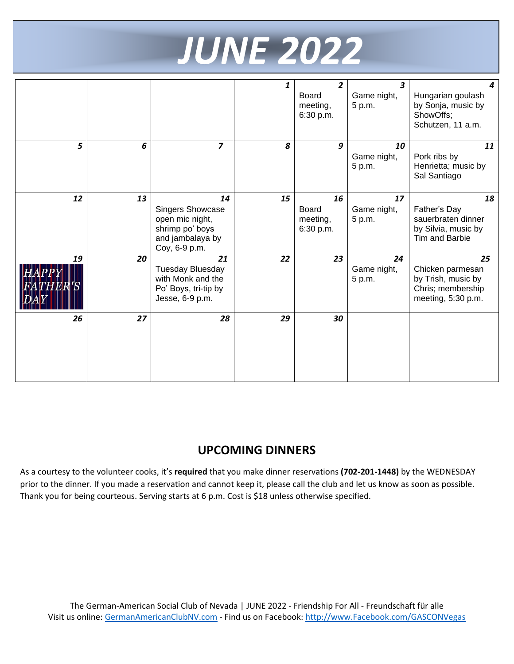

|    |    |                                                                                                          | 1  | 2<br><b>Board</b><br>meeting,<br>6:30 p.m. | $\overline{\mathbf{3}}$<br>Game night,<br>5 p.m. | 4<br>Hungarian goulash<br>by Sonja, music by<br>ShowOffs;<br>Schutzen, 11 a.m.          |
|----|----|----------------------------------------------------------------------------------------------------------|----|--------------------------------------------|--------------------------------------------------|-----------------------------------------------------------------------------------------|
| 5  | 6  | $\overline{\mathbf{z}}$                                                                                  | 8  | 9                                          | 10<br>Game night,<br>5 p.m.                      | 11<br>Pork ribs by<br>Henrietta; music by<br>Sal Santiago                               |
| 12 | 13 | 14<br><b>Singers Showcase</b><br>open mic night,<br>shrimp po' boys<br>and jambalaya by<br>Coy, 6-9 p.m. | 15 | 16<br>Board<br>meeting,<br>6:30 p.m.       | 17<br>Game night,<br>5 p.m.                      | 18<br>Father's Day<br>sauerbraten dinner<br>by Silvia, music by<br>Tim and Barbie       |
| 19 | 20 | 21<br><b>Tuesday Bluesday</b><br>with Monk and the<br>Po' Boys, tri-tip by<br>Jesse, 6-9 p.m.            | 22 | 23                                         | 24<br>Game night,<br>5 p.m.                      | 25<br>Chicken parmesan<br>by Trish, music by<br>Chris; membership<br>meeting, 5:30 p.m. |
| 26 | 27 | 28                                                                                                       | 29 | 30                                         |                                                  |                                                                                         |

### **UPCOMING DINNERS**

As a courtesy to the volunteer cooks, it's **required** that you make dinner reservations **(702-201-1448)** by the WEDNESDAY prior to the dinner. If you made a reservation and cannot keep it, please call the club and let us know as soon as possible. Thank you for being courteous. Serving starts at 6 p.m. Cost is \$18 unless otherwise specified.